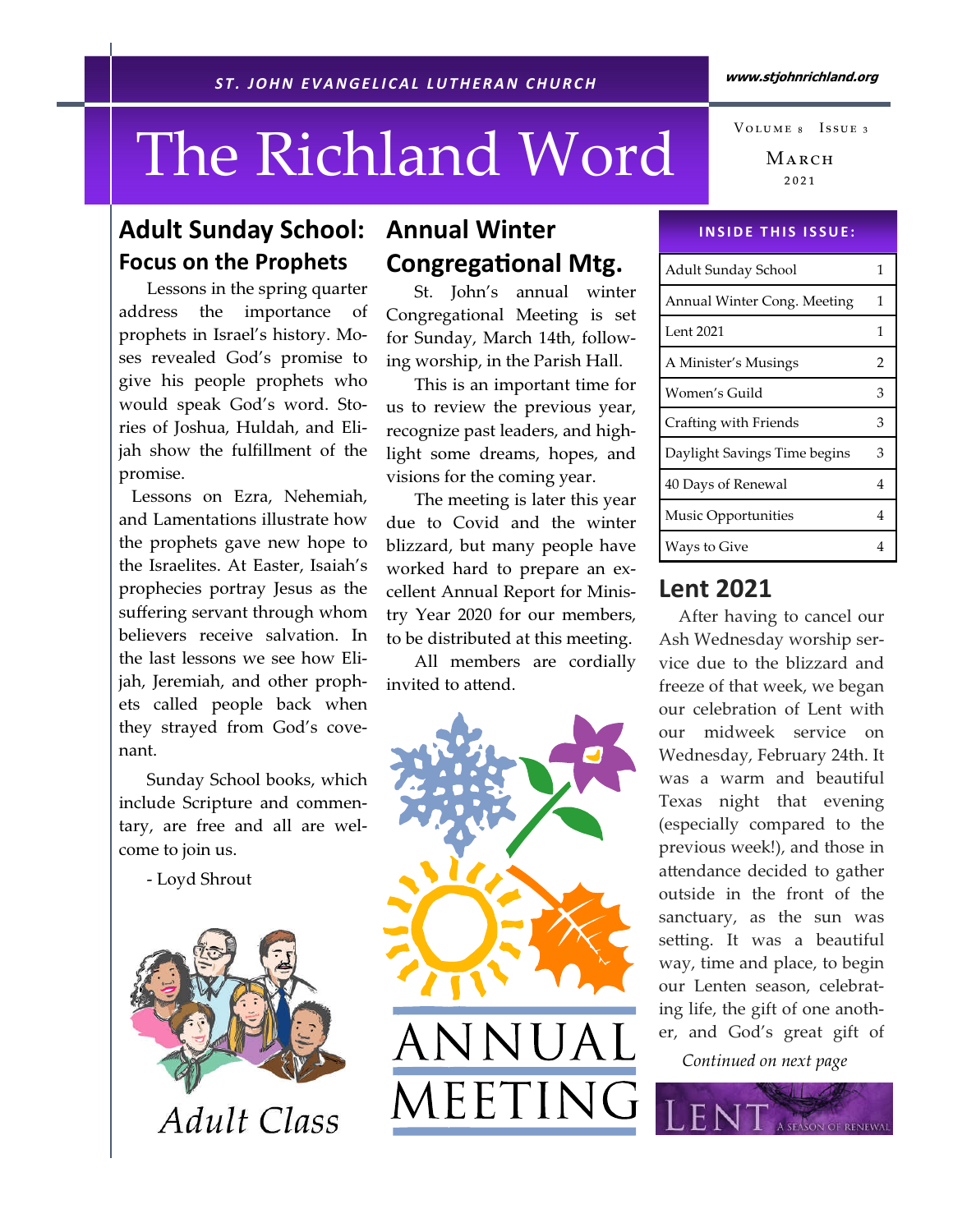# The Richland Word

# Adult Sunday School: Focus on the Prophets

 Lessons in the spring quarter address the importance of prophets in Israel's history. Moses revealed God's promise to give his people prophets who would speak God's word. Stories of Joshua, Huldah, and Elijah show the fulfillment of the promise.

 Lessons on Ezra, Nehemiah, and Lamentations illustrate how the prophets gave new hope to the Israelites. At Easter, Isaiah's prophecies portray Jesus as the suffering servant through whom believers receive salvation. In the last lessons we see how Elijah, Jeremiah, and other prophets called people back when they strayed from God's covenant.

 Sunday School books, which include Scripture and commentary, are free and all are welcome to join us.

- Loyd Shrout



# Annual Winter **Congregational Mtg.**

St. John's annual winter Congregational Meeting is set for Sunday, March 14th, following worship, in the Parish Hall.

 This is an important time for us to review the previous year, recognize past leaders, and highlight some dreams, hopes, and visions for the coming year.

 The meeting is later this year due to Covid and the winter blizzard, but many people have worked hard to prepare an excellent Annual Report for Ministry Year 2020 for our members, to be distributed at this meeting.

 All members are cordially invited to attend.



MARCH ₂₀₂₁ VOLUME 8 ISSUE 3

#### **INSIDE THIS ISSUE:**

| Adult Sunday School          | 1 |
|------------------------------|---|
| Annual Winter Cong. Meeting  | 1 |
| Lent 2021                    | 1 |
| A Minister's Musings         | 2 |
| Women's Guild                | 3 |
| Crafting with Friends        | 3 |
| Daylight Savings Time begins | 3 |
| 40 Days of Renewal           | 4 |
| Music Opportunities          | 4 |
| Ways to Give                 | 4 |

## Lent 2021

 After having to cancel our Ash Wednesday worship service due to the blizzard and freeze of that week, we began our celebration of Lent with our midweek service on Wednesday, February 24th. It was a warm and beautiful Texas night that evening (especially compared to the previous week!), and those in a endance decided to gather outside in the front of the sanctuary, as the sun was se ing. It was a beautiful way, time and place, to begin our Lenten season, celebrating life, the gift of one another, and God's great gift of

Continued on next page

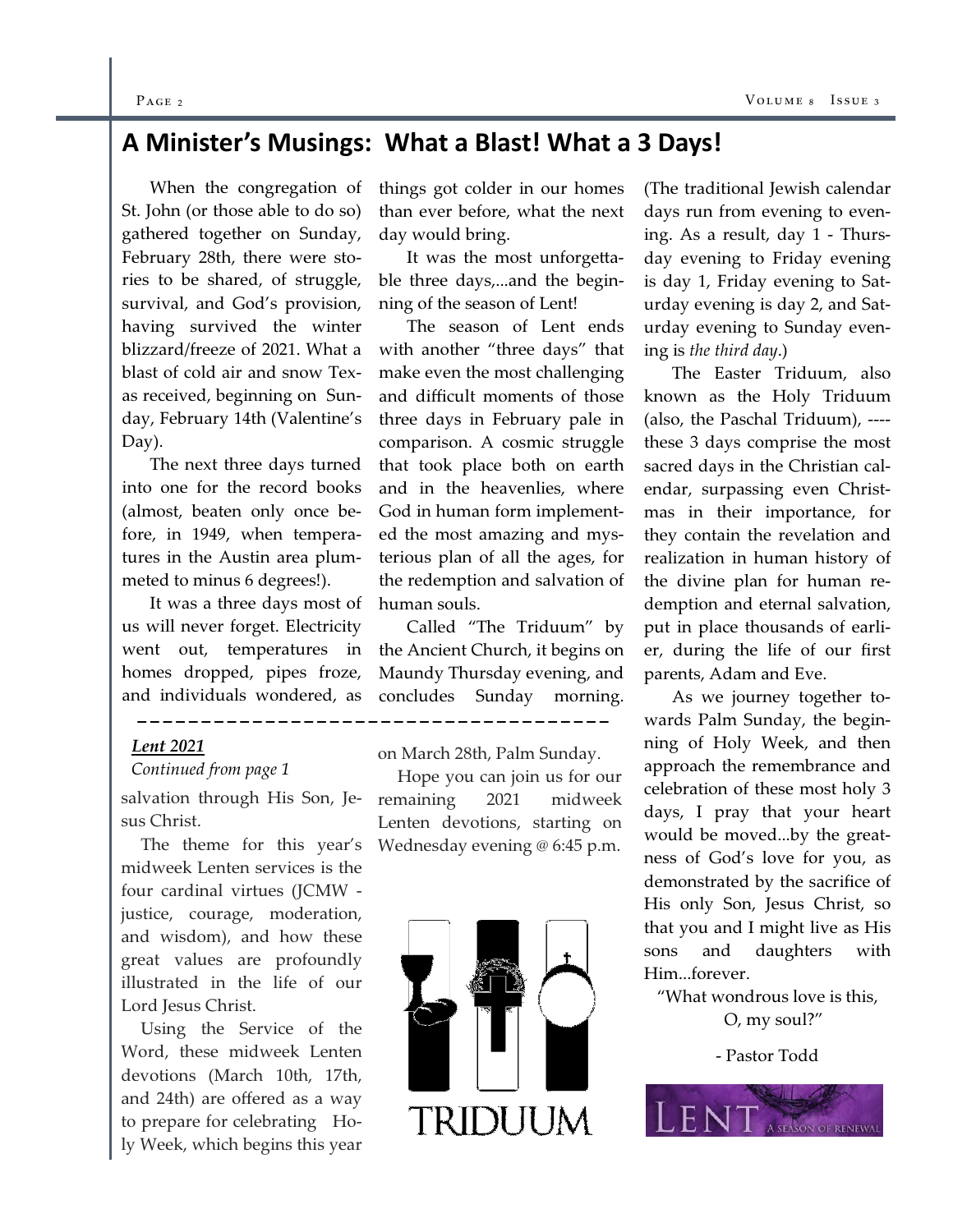#### $P_{\text{AGE 2}}$  Vo

## A Minister's Musings: What a Blast! What a 3 Days!

 When the congregation of St. John (or those able to do so) gathered together on Sunday, February 28th, there were stories to be shared, of struggle, survival, and God's provision, having survived the winter blizzard/freeze of 2021. What a blast of cold air and snow Texas received, beginning on Sunday, February 14th (Valentine's Day).

 The next three days turned into one for the record books (almost, beaten only once before, in 1949, when temperatures in the Austin area plummeted to minus 6 degrees!).

 It was a three days most of us will never forget. Electricity went out, temperatures in homes dropped, pipes froze, and individuals wondered, as

#### Lent 2021

#### Continued from page 1

sus Christ.

 The theme for this year's Wednesday evening @ 6:45 p.m. midweek Lenten services is the four cardinal virtues (JCMW justice, courage, moderation, and wisdom), and how these great values are profoundly illustrated in the life of our Lord Jesus Christ.

 Using the Service of the Word, these midweek Lenten devotions (March 10th, 17th, and 24th) are offered as a way to prepare for celebrating Holy Week, which begins this year things got colder in our homes than ever before, what the next day would bring.

It was the most unforge able three days,...and the beginning of the season of Lent!

 The season of Lent ends with another "three days" that make even the most challenging and difficult moments of those three days in February pale in comparison. A cosmic struggle that took place both on earth and in the heavenlies, where God in human form implemented the most amazing and mysterious plan of all the ages, for the redemption and salvation of human souls.

 Called "The Triduum" by the Ancient Church, it begins on Maundy Thursday evening, and concludes Sunday morning.

on March 28th, Palm Sunday.

\_\_\_\_\_\_\_\_\_\_\_\_

salvation through His Son, Je-remaining 2021 midweek Hope you can join us for our Lenten devotions, starting on



(The traditional Jewish calendar days run from evening to evening. As a result, day 1 - Thursday evening to Friday evening is day 1, Friday evening to Saturday evening is day 2, and Saturday evening to Sunday evening is the third day.)

 The Easter Triduum, also known as the Holy Triduum (also, the Paschal Triduum), --- these 3 days comprise the most sacred days in the Christian calendar, surpassing even Christmas in their importance, for they contain the revelation and realization in human history of the divine plan for human redemption and eternal salvation, put in place thousands of earlier, during the life of our first parents, Adam and Eve.

 As we journey together towards Palm Sunday, the beginning of Holy Week, and then approach the remembrance and celebration of these most holy 3 days, I pray that your heart would be moved...by the greatness of God's love for you, as demonstrated by the sacrifice of His only Son, Jesus Christ, so that you and I might live as His sons and daughters with Him...forever.

"What wondrous love is this, O, my soul?"

- Pastor Todd

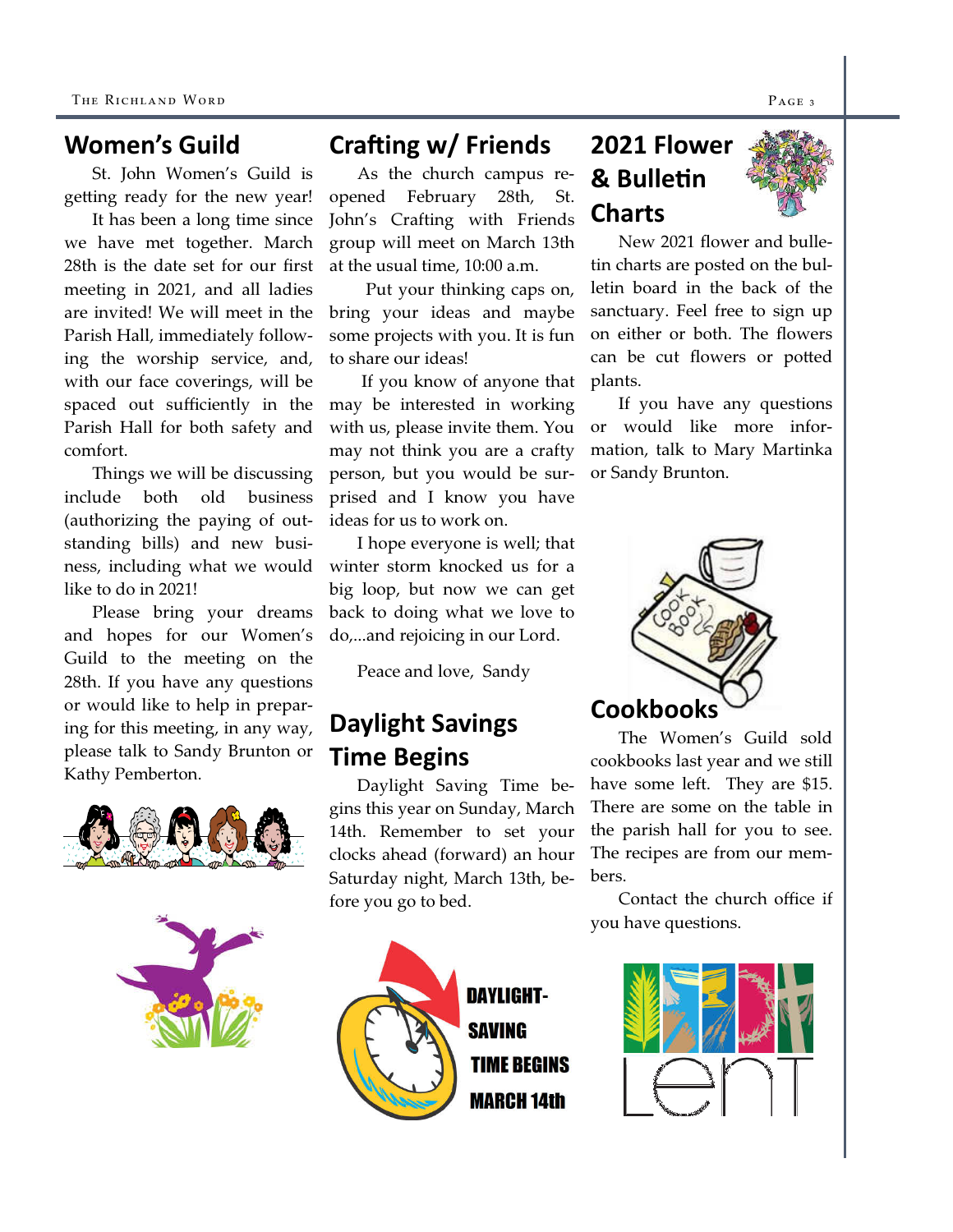## Women's Guild

St. John Women's Guild is ge ing ready for the new year!

 It has been a long time since we have met together. March 28th is the date set for our first meeting in 2021, and all ladies are invited! We will meet in the Parish Hall, immediately following the worship service, and, with our face coverings, will be spaced out sufficiently in the Parish Hall for both safety and comfort.

 Things we will be discussing include both old business (authorizing the paying of outstanding bills) and new business, including what we would like to do in 2021!

 Please bring your dreams and hopes for our Women's Guild to the meeting on the 28th. If you have any questions or would like to help in preparing for this meeting, in any way, please talk to Sandy Brunton or Kathy Pemberton.





# Crafting  $w/$  Friends

As the church campus reopened February 28th, St. John's Crafting with Friends group will meet on March 13th at the usual time, 10:00 a.m.

 Put your thinking caps on, bring your ideas and maybe some projects with you. It is fun to share our ideas!

 If you know of anyone that may be interested in working with us, please invite them. You may not think you are a crafty person, but you would be surprised and I know you have ideas for us to work on.

 I hope everyone is well; that winter storm knocked us for a big loop, but now we can get back to doing what we love to do,...and rejoicing in our Lord.

Peace and love, Sandy

# Daylight Savings Time Begins

Daylight Saving Time begins this year on Sunday, March 14th. Remember to set your clocks ahead (forward) an hour Saturday night, March 13th, before you go to bed.



**DAYLIGHT-SAVING TIME BEGINS MARCH 14th** 

# 2021 Flower & Bulletin Charts



New 2021 flower and bulletin charts are posted on the bulletin board in the back of the sanctuary. Feel free to sign up on either or both. The flowers can be cut flowers or potted plants.

 If you have any questions or would like more information, talk to Mary Martinka or Sandy Brunton.



The Women's Guild sold cookbooks last year and we still have some left. They are \$15. There are some on the table in the parish hall for you to see. The recipes are from our members.

 Contact the church office if you have questions.